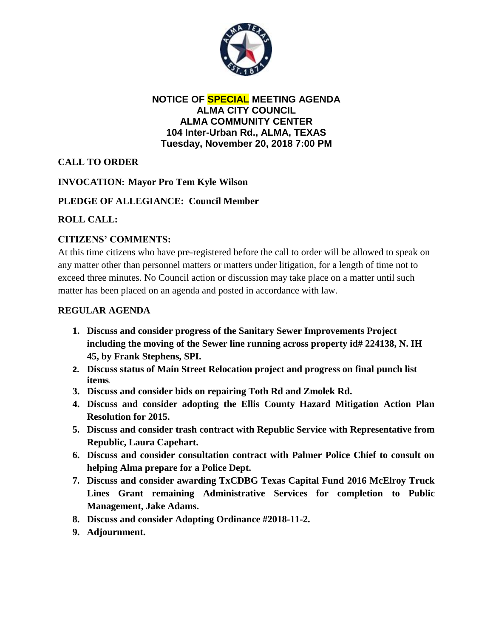

**NOTICE OF SPECIAL MEETING AGENDA ALMA CITY COUNCIL ALMA COMMUNITY CENTER 104 Inter-Urban Rd., ALMA, TEXAS Tuesday, November 20, 2018 7:00 PM**

# **CALL TO ORDER**

## **INVOCATION: Mayor Pro Tem Kyle Wilson**

### **PLEDGE OF ALLEGIANCE: Council Member**

### **ROLL CALL:**

### **CITIZENS' COMMENTS:**

At this time citizens who have pre-registered before the call to order will be allowed to speak on any matter other than personnel matters or matters under litigation, for a length of time not to exceed three minutes. No Council action or discussion may take place on a matter until such matter has been placed on an agenda and posted in accordance with law.

#### **REGULAR AGENDA**

- **1. Discuss and consider progress of the Sanitary Sewer Improvements Project including the moving of the Sewer line running across property id# 224138, N. IH 45, by Frank Stephens, SPI.**
- **2. Discuss status of Main Street Relocation project and progress on final punch list items**.
- **3. Discuss and consider bids on repairing Toth Rd and Zmolek Rd.**
- **4. Discuss and consider adopting the Ellis County Hazard Mitigation Action Plan Resolution for 2015.**
- **5. Discuss and consider trash contract with Republic Service with Representative from Republic, Laura Capehart.**
- **6. Discuss and consider consultation contract with Palmer Police Chief to consult on helping Alma prepare for a Police Dept.**
- **7. Discuss and consider awarding TxCDBG Texas Capital Fund 2016 McElroy Truck Lines Grant remaining Administrative Services for completion to Public Management, Jake Adams.**
- **8. Discuss and consider Adopting Ordinance #2018-11-2.**
- **9. Adjournment.**